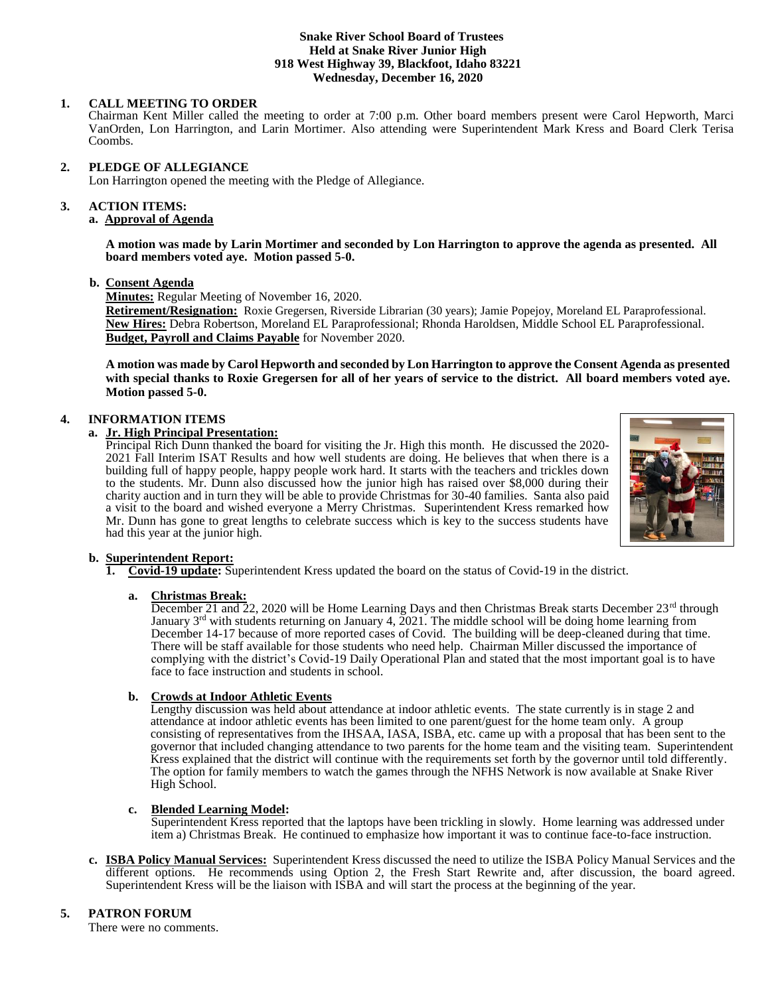#### **Snake River School Board of Trustees Held at Snake River Junior High 918 West Highway 39, Blackfoot, Idaho 83221 Wednesday, December 16, 2020**

# **1. CALL MEETING TO ORDER**

Chairman Kent Miller called the meeting to order at 7:00 p.m. Other board members present were Carol Hepworth, Marci VanOrden, Lon Harrington, and Larin Mortimer. Also attending were Superintendent Mark Kress and Board Clerk Terisa Coombs.

### **2. PLEDGE OF ALLEGIANCE**

Lon Harrington opened the meeting with the Pledge of Allegiance.

#### 3. **3. ACTION ITEMS:**

# **a. Approval of Agenda**

**A motion was made by Larin Mortimer and seconded by Lon Harrington to approve the agenda as presented. All board members voted aye. Motion passed 5-0.**

### **b. Consent Agenda**

**Minutes:** Regular Meeting of November 16, 2020.

**Retirement/Resignation:** Roxie Gregersen, Riverside Librarian (30 years); Jamie Popejoy, Moreland EL Paraprofessional. **New Hires:** Debra Robertson, Moreland EL Paraprofessional; Rhonda Haroldsen, Middle School EL Paraprofessional. **Budget, Payroll and Claims Payable** for November 2020.

**A motion was made by Carol Hepworth and seconded by Lon Harrington to approve the Consent Agenda as presented with special thanks to Roxie Gregersen for all of her years of service to the district. All board members voted aye. Motion passed 5-0.**

# **4. INFORMATION ITEMS**

### **a. Jr. High Principal Presentation:**

Principal Rich Dunn thanked the board for visiting the Jr. High this month. He discussed the 2020- 2021 Fall Interim ISAT Results and how well students are doing. He believes that when there is a building full of happy people, happy people work hard. It starts with the teachers and trickles down to the students. Mr. Dunn also discussed how the junior high has raised over \$8,000 during their charity auction and in turn they will be able to provide Christmas for 30-40 families. Santa also paid a visit to the board and wished everyone a Merry Christmas. Superintendent Kress remarked how Mr. Dunn has gone to great lengths to celebrate success which is key to the success students have had this year at the junior high.



### **b. Superintendent Report:**

**1. Covid-19 update:** Superintendent Kress updated the board on the status of Covid-19 in the district.

### **a. Christmas Break:**

December 21 and 22, 2020 will be Home Learning Days and then Christmas Break starts December 23<sup>rd</sup> through January  $3<sup>rd</sup>$  with students returning on January 4, 2021. The middle school will be doing home learning from December 14-17 because of more reported cases of Covid. The building will be deep-cleaned during that time. There will be staff available for those students who need help. Chairman Miller discussed the importance of complying with the district's Covid-19 Daily Operational Plan and stated that the most important goal is to have face to face instruction and students in school.

### **b. Crowds at Indoor Athletic Events**

 Lengthy discussion was held about attendance at indoor athletic events. The state currently is in stage 2 and attendance at indoor athletic events has been limited to one parent/guest for the home team only. A group consisting of representatives from the IHSAA, IASA, ISBA, etc. came up with a proposal that has been sent to the governor that included changing attendance to two parents for the home team and the visiting team. Superintendent Kress explained that the district will continue with the requirements set forth by the governor until told differently. The option for family members to watch the games through the NFHS Network is now available at Snake River High School.

### **c. Blended Learning Model:**

Superintendent Kress reported that the laptops have been trickling in slowly. Home learning was addressed under item a) Christmas Break. He continued to emphasize how important it was to continue face-to-face instruction.

**c. ISBA Policy Manual Services:** Superintendent Kress discussed the need to utilize the ISBA Policy Manual Services and the different options. He recommends using Option 2, the Fresh Start Rewrite and, after discussion, the board agreed. Superintendent Kress will be the liaison with ISBA and will start the process at the beginning of the year.

# **5. PATRON FORUM**

There were no comments.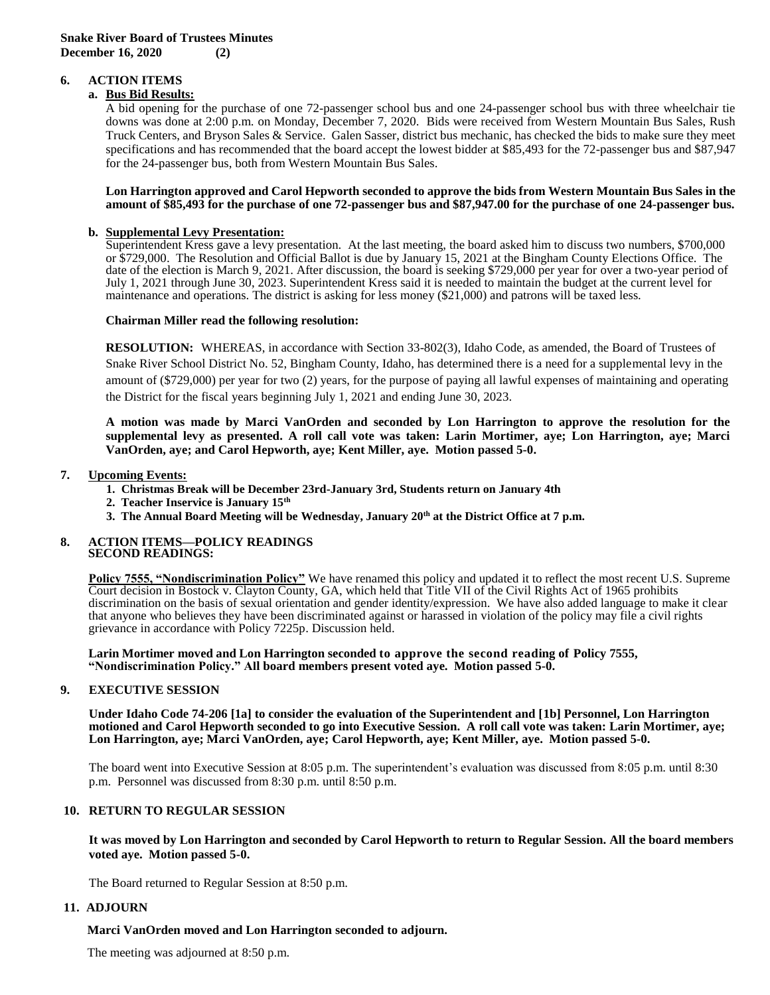# **6. ACTION ITEMS**

# **a. Bus Bid Results:**

A bid opening for the purchase of one 72-passenger school bus and one 24-passenger school bus with three wheelchair tie downs was done at 2:00 p.m. on Monday, December 7, 2020. Bids were received from Western Mountain Bus Sales, Rush Truck Centers, and Bryson Sales & Service. Galen Sasser, district bus mechanic, has checked the bids to make sure they meet specifications and has recommended that the board accept the lowest bidder at \$85,493 for the 72-passenger bus and \$87,947 for the 24-passenger bus, both from Western Mountain Bus Sales.

#### **Lon Harrington approved and Carol Hepworth seconded to approve the bids from Western Mountain Bus Sales in the amount of \$85,493 for the purchase of one 72-passenger bus and \$87,947.00 for the purchase of one 24-passenger bus.**

# **b. Supplemental Levy Presentation:**

Superintendent Kress gave a levy presentation. At the last meeting, the board asked him to discuss two numbers, \$700,000 or \$729,000. The Resolution and Official Ballot is due by January 15, 2021 at the Bingham County Elections Office. The date of the election is March 9, 2021. After discussion, the board is seeking \$729,000 per year for over a two-year period of July 1, 2021 through June 30, 2023. Superintendent Kress said it is needed to maintain the budget at the current level for maintenance and operations. The district is asking for less money (\$21,000) and patrons will be taxed less.

### **Chairman Miller read the following resolution:**

**RESOLUTION:** WHEREAS, in accordance with Section 33-802(3), Idaho Code, as amended, the Board of Trustees of Snake River School District No. 52, Bingham County, Idaho, has determined there is a need for a supplemental levy in the amount of (\$729,000) per year for two (2) years, for the purpose of paying all lawful expenses of maintaining and operating the District for the fiscal years beginning July 1, 2021 and ending June 30, 2023.

**A motion was made by Marci VanOrden and seconded by Lon Harrington to approve the resolution for the supplemental levy as presented. A roll call vote was taken: Larin Mortimer, aye; Lon Harrington, aye; Marci VanOrden, aye; and Carol Hepworth, aye; Kent Miller, aye. Motion passed 5-0.** 

### **7. Upcoming Events:**

- **1. Christmas Break will be December 23rd-January 3rd, Students return on January 4th**
- **2. Teacher Inservice is January 15th**
- **3. The Annual Board Meeting will be Wednesday, January 20th at the District Office at 7 p.m.**

### **8. ACTION ITEMS—POLICY READINGS SECOND READINGS:**

**Policy 7555, "Nondiscrimination Policy"** We have renamed this policy and updated it to reflect the most recent U.S. Supreme Court decision in Bostock v. Clayton County, GA, which held that Title VII of the Civil Rights Act of 1965 prohibits discrimination on the basis of sexual orientation and gender identity/expression. We have also added language to make it clear that anyone who believes they have been discriminated against or harassed in violation of the policy may file a civil rights grievance in accordance with Policy 7225p. Discussion held.

**Larin Mortimer moved and Lon Harrington seconded to approve the second reading of Policy 7555, "Nondiscrimination Policy." All board members present voted aye. Motion passed 5-0.**

# **9. EXECUTIVE SESSION**

**Under Idaho Code 74-206 [1a] to consider the evaluation of the Superintendent and [1b] Personnel, Lon Harrington motioned and Carol Hepworth seconded to go into Executive Session. A roll call vote was taken: Larin Mortimer, aye; Lon Harrington, aye; Marci VanOrden, aye; Carol Hepworth, aye; Kent Miller, aye. Motion passed 5-0.** 

The board went into Executive Session at 8:05 p.m. The superintendent's evaluation was discussed from 8:05 p.m. until 8:30 p.m. Personnel was discussed from 8:30 p.m. until 8:50 p.m.

### **10. RETURN TO REGULAR SESSION**

**It was moved by Lon Harrington and seconded by Carol Hepworth to return to Regular Session. All the board members voted aye. Motion passed 5-0.**

The Board returned to Regular Session at 8:50 p.m.

### **11. ADJOURN**

### **Marci VanOrden moved and Lon Harrington seconded to adjourn.**

The meeting was adjourned at 8:50 p.m.